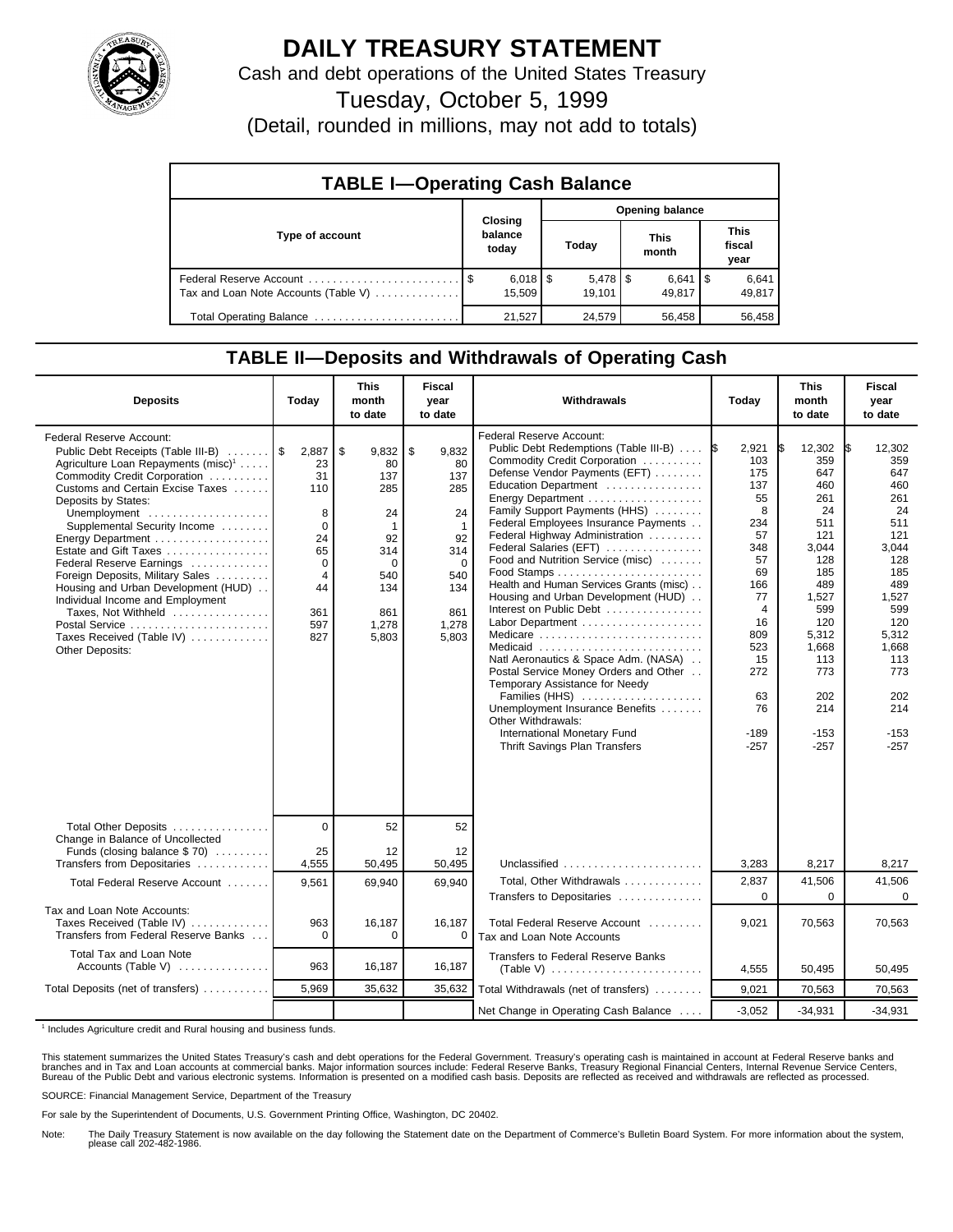

## **DAILY TREASURY STATEMENT**

Cash and debt operations of the United States Treasury

Tuesday, October 5, 1999

(Detail, rounded in millions, may not add to totals)

| <b>TABLE I-Operating Cash Balance</b> |  |                                 |                 |                                 |  |                      |  |                               |  |
|---------------------------------------|--|---------------------------------|-----------------|---------------------------------|--|----------------------|--|-------------------------------|--|
|                                       |  |                                 | Opening balance |                                 |  |                      |  |                               |  |
| Type of account                       |  | Closing<br>balance<br>today     |                 | Today                           |  | <b>This</b><br>month |  | <b>This</b><br>fiscal<br>year |  |
| Tax and Loan Note Accounts (Table V)  |  | $6,018$ $\frac{1}{3}$<br>15.509 |                 | $5,478$ $\frac{1}{3}$<br>19.101 |  | $6,641$ S<br>49.817  |  | 6,641<br>49,817               |  |
| Total Operating Balance               |  | 21.527                          |                 | 24,579                          |  | 56,458               |  | 56,458                        |  |

## **TABLE II—Deposits and Withdrawals of Operating Cash**

| <b>Deposits</b>                                                                                                                                                                                                                                                                                                                                                                                                                                                                                                                                | Today                                                                                                          | <b>This</b><br>month<br>to date                                                                                         | <b>Fiscal</b><br>year<br>to date                                                                                      | Withdrawals                                                                                                                                                                                                                                                                                                                                                                                                                                                                                                                                                                                                                                                                                                                                                        | Today                                                                                                                                                                      | <b>This</b><br>month<br>to date                                                                                                                                                      | <b>Fiscal</b><br>year<br>to date                                                                                                                                                   |
|------------------------------------------------------------------------------------------------------------------------------------------------------------------------------------------------------------------------------------------------------------------------------------------------------------------------------------------------------------------------------------------------------------------------------------------------------------------------------------------------------------------------------------------------|----------------------------------------------------------------------------------------------------------------|-------------------------------------------------------------------------------------------------------------------------|-----------------------------------------------------------------------------------------------------------------------|--------------------------------------------------------------------------------------------------------------------------------------------------------------------------------------------------------------------------------------------------------------------------------------------------------------------------------------------------------------------------------------------------------------------------------------------------------------------------------------------------------------------------------------------------------------------------------------------------------------------------------------------------------------------------------------------------------------------------------------------------------------------|----------------------------------------------------------------------------------------------------------------------------------------------------------------------------|--------------------------------------------------------------------------------------------------------------------------------------------------------------------------------------|------------------------------------------------------------------------------------------------------------------------------------------------------------------------------------|
| Federal Reserve Account:<br>Public Debt Receipts (Table III-B)<br>Agriculture Loan Repayments (misc) <sup>1</sup><br>Commodity Credit Corporation<br>Customs and Certain Excise Taxes<br>Deposits by States:<br>Unemployment<br>Supplemental Security Income<br>Energy Department<br>Estate and Gift Taxes<br>Federal Reserve Earnings<br>Foreign Deposits, Military Sales<br>Housing and Urban Development (HUD)<br>Individual Income and Employment<br>Taxes, Not Withheld<br>Postal Service<br>Taxes Received (Table IV)<br>Other Deposits: | 2,887<br>23<br>31<br>110<br>8<br>$\Omega$<br>24<br>65<br>$\Omega$<br>$\overline{4}$<br>44<br>361<br>597<br>827 | \$<br>9,832<br>80<br>137<br>285<br>24<br>$\overline{1}$<br>92<br>314<br>$\Omega$<br>540<br>134<br>861<br>1,278<br>5,803 | \$<br>9,832<br>80<br>137<br>285<br>24<br>$\mathbf{1}$<br>92<br>314<br>$\Omega$<br>540<br>134<br>861<br>1,278<br>5,803 | <b>Federal Reserve Account:</b><br>Public Debt Redemptions (Table III-B)<br>Commodity Credit Corporation<br>Defense Vendor Payments (EFT)<br>Education Department<br>Family Support Payments (HHS)<br>Federal Employees Insurance Payments<br>Federal Highway Administration<br>Federal Salaries (EFT)<br>Food and Nutrition Service (misc)<br>Health and Human Services Grants (misc)<br>Housing and Urban Development (HUD)<br>Interest on Public Debt<br>Labor Department<br>Medicare<br>Medicaid<br>Natl Aeronautics & Space Adm. (NASA)<br>Postal Service Money Orders and Other<br>Temporary Assistance for Needy<br>Families (HHS)<br>Unemployment Insurance Benefits<br>Other Withdrawals:<br>International Monetary Fund<br>Thrift Savings Plan Transfers | 2,921<br>1\$<br>103<br>175<br>137<br>55<br>8<br>234<br>57<br>348<br>57<br>69<br>166<br>77<br>$\overline{4}$<br>16<br>809<br>523<br>15<br>272<br>63<br>76<br>-189<br>$-257$ | 12,302<br>IS.<br>359<br>647<br>460<br>261<br>24<br>511<br>121<br>3,044<br>128<br>185<br>489<br>1,527<br>599<br>120<br>5,312<br>1,668<br>113<br>773<br>202<br>214<br>$-153$<br>$-257$ | 12,302<br>I\$<br>359<br>647<br>460<br>261<br>24<br>511<br>121<br>3,044<br>128<br>185<br>489<br>1,527<br>599<br>120<br>5,312<br>1,668<br>113<br>773<br>202<br>214<br>-153<br>$-257$ |
| Total Other Deposits<br>Change in Balance of Uncollected                                                                                                                                                                                                                                                                                                                                                                                                                                                                                       | $\mathbf 0$                                                                                                    | 52                                                                                                                      | 52                                                                                                                    |                                                                                                                                                                                                                                                                                                                                                                                                                                                                                                                                                                                                                                                                                                                                                                    |                                                                                                                                                                            |                                                                                                                                                                                      |                                                                                                                                                                                    |
| Funds (closing balance \$70)<br>Transfers from Depositaries                                                                                                                                                                                                                                                                                                                                                                                                                                                                                    | 25<br>4,555                                                                                                    | 12<br>50,495                                                                                                            | 12<br>50,495                                                                                                          | Unclassified                                                                                                                                                                                                                                                                                                                                                                                                                                                                                                                                                                                                                                                                                                                                                       | 3,283                                                                                                                                                                      | 8,217                                                                                                                                                                                | 8,217                                                                                                                                                                              |
| Total Federal Reserve Account                                                                                                                                                                                                                                                                                                                                                                                                                                                                                                                  | 9.561                                                                                                          | 69,940                                                                                                                  | 69.940                                                                                                                | Total, Other Withdrawals                                                                                                                                                                                                                                                                                                                                                                                                                                                                                                                                                                                                                                                                                                                                           | 2,837                                                                                                                                                                      | 41,506<br>$\mathbf 0$                                                                                                                                                                | 41,506<br>$\Omega$                                                                                                                                                                 |
| Tax and Loan Note Accounts:<br>Taxes Received (Table IV)<br>Transfers from Federal Reserve Banks                                                                                                                                                                                                                                                                                                                                                                                                                                               | 963<br>$\Omega$                                                                                                | 16,187<br>0                                                                                                             | 16,187<br>0                                                                                                           | Transfers to Depositaries<br>Total Federal Reserve Account<br>Tax and Loan Note Accounts                                                                                                                                                                                                                                                                                                                                                                                                                                                                                                                                                                                                                                                                           | 0<br>9,021                                                                                                                                                                 | 70,563                                                                                                                                                                               | 70,563                                                                                                                                                                             |
| Total Tax and Loan Note<br>Accounts (Table V) $\ldots$                                                                                                                                                                                                                                                                                                                                                                                                                                                                                         | 963                                                                                                            | 16,187                                                                                                                  | 16,187                                                                                                                | <b>Transfers to Federal Reserve Banks</b>                                                                                                                                                                                                                                                                                                                                                                                                                                                                                                                                                                                                                                                                                                                          | 4,555                                                                                                                                                                      | 50,495                                                                                                                                                                               | 50.495                                                                                                                                                                             |
| Total Deposits (net of transfers)                                                                                                                                                                                                                                                                                                                                                                                                                                                                                                              | 5,969                                                                                                          | 35,632                                                                                                                  | 35,632                                                                                                                | Total Withdrawals (net of transfers)                                                                                                                                                                                                                                                                                                                                                                                                                                                                                                                                                                                                                                                                                                                               | 9,021                                                                                                                                                                      | 70,563                                                                                                                                                                               | 70,563                                                                                                                                                                             |
|                                                                                                                                                                                                                                                                                                                                                                                                                                                                                                                                                |                                                                                                                |                                                                                                                         |                                                                                                                       | Net Change in Operating Cash Balance                                                                                                                                                                                                                                                                                                                                                                                                                                                                                                                                                                                                                                                                                                                               | $-3,052$                                                                                                                                                                   | $-34,931$                                                                                                                                                                            | $-34,931$                                                                                                                                                                          |

<sup>1</sup> Includes Agriculture credit and Rural housing and business funds.

This statement summarizes the United States Treasury's cash and debt operations for the Federal Government. Treasury's operating cash is maintained in account at Federal Reserve banks and<br>branches and in Tax and Loan accou

SOURCE: Financial Management Service, Department of the Treasury

For sale by the Superintendent of Documents, U.S. Government Printing Office, Washington, DC 20402.

Note: The Daily Treasury Statement is now available on the day following the Statement date on the Department of Commerce's Bulletin Board System. For more information about the system, please call 202-482-1986.